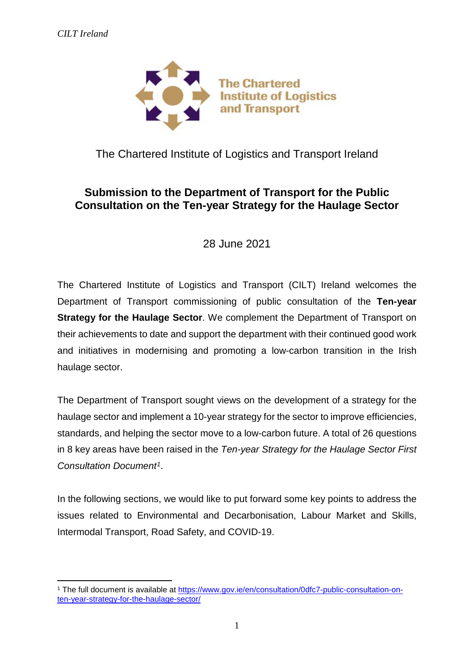

The Chartered Institute of Logistics and Transport Ireland

## **Submission to the Department of Transport for the Public Consultation on the Ten-year Strategy for the Haulage Sector**

28 June 2021

The Chartered Institute of Logistics and Transport (CILT) Ireland welcomes the Department of Transport commissioning of public consultation of the **Ten-year Strategy for the Haulage Sector.** We complement the Department of Transport on their achievements to date and support the department with their continued good work and initiatives in modernising and promoting a low-carbon transition in the Irish haulage sector.

The Department of Transport sought views on the development of a strategy for the haulage sector and implement a 10-year strategy for the sector to improve efficiencies, standards, and helping the sector move to a low-carbon future. A total of 26 questions in 8 key areas have been raised in the *Ten-year Strategy for the Haulage Sector First Consultation Document[1](#page-0-0)*.

In the following sections, we would like to put forward some key points to address the issues related to Environmental and Decarbonisation, Labour Market and Skills, Intermodal Transport, Road Safety, and COVID-19.

<span id="page-0-0"></span><sup>&</sup>lt;u>.</u> <sup>1</sup> The full document is available at [https://www.gov.ie/en/consultation/0dfc7-public-consultation-on](https://www.gov.ie/en/consultation/0dfc7-public-consultation-on-ten-year-strategy-for-the-haulage-sector/)[ten-year-strategy-for-the-haulage-sector/](https://www.gov.ie/en/consultation/0dfc7-public-consultation-on-ten-year-strategy-for-the-haulage-sector/)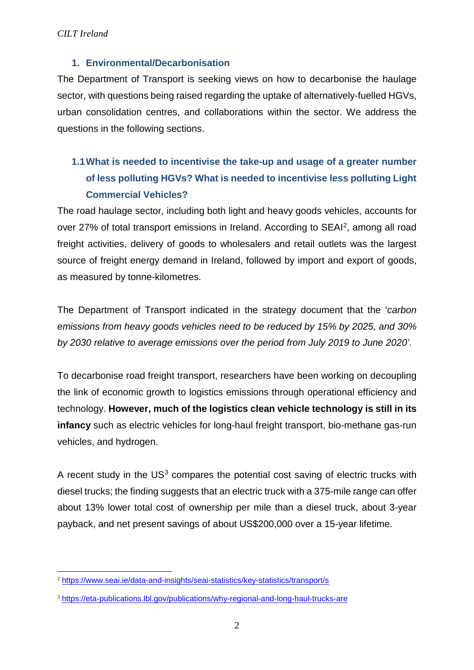### **1. Environmental/Decarbonisation**

The Department of Transport is seeking views on how to decarbonise the haulage sector, with questions being raised regarding the uptake of alternatively-fuelled HGVs, urban consolidation centres, and collaborations within the sector. We address the questions in the following sections.

# **1.1What is needed to incentivise the take-up and usage of a greater number of less polluting HGVs? What is needed to incentivise less polluting Light Commercial Vehicles?**

The road haulage sector, including both light and heavy goods vehicles, accounts for over 27% of total transport emissions in Ireland. According to SEAI[2,](#page-1-0) among all road freight activities, delivery of goods to wholesalers and retail outlets was the largest source of freight energy demand in Ireland, followed by import and export of goods, as measured by tonne-kilometres.

The Department of Transport indicated in the strategy document that the '*carbon emissions from heavy goods vehicles need to be reduced by 15% by 2025, and 30% by 2030 relative to average emissions over the period from July 2019 to June 2020'*.

To decarbonise road freight transport, researchers have been working on decoupling the link of economic growth to logistics emissions through operational efficiency and technology. **However, much of the logistics clean vehicle technology is still in its infancy** such as electric vehicles for long-haul freight transport, bio-methane gas-run vehicles, and hydrogen.

A recent study in the  $US<sup>3</sup>$  $US<sup>3</sup>$  $US<sup>3</sup>$  compares the potential cost saving of electric trucks with diesel trucks; the finding suggests that an electric truck with a 375-mile range can offer about 13% lower total cost of ownership per mile than a diesel truck, about 3-year payback, and net present savings of about US\$200,000 over a 15-year lifetime.

<span id="page-1-0"></span> <sup>2</sup> <https://www.seai.ie/data-and-insights/seai-statistics/key-statistics/transport/s>

<span id="page-1-1"></span><sup>3</sup> <https://eta-publications.lbl.gov/publications/why-regional-and-long-haul-trucks-are>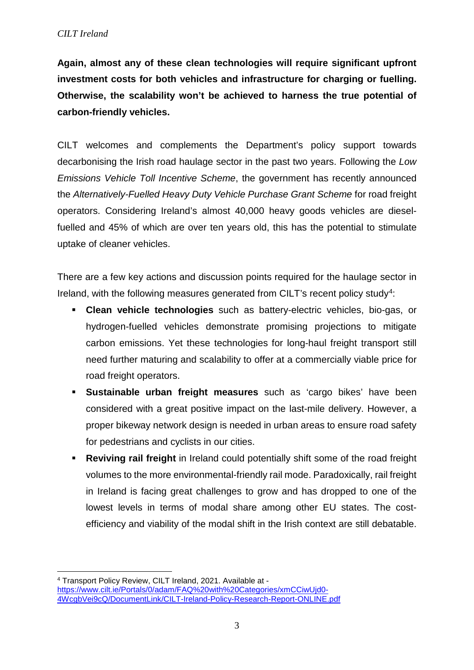**Again, almost any of these clean technologies will require significant upfront investment costs for both vehicles and infrastructure for charging or fuelling. Otherwise, the scalability won't be achieved to harness the true potential of carbon-friendly vehicles.**

CILT welcomes and complements the Department's policy support towards decarbonising the Irish road haulage sector in the past two years. Following the *Low Emissions Vehicle Toll Incentive Scheme*, the government has recently announced the *Alternatively-Fuelled Heavy Duty Vehicle Purchase Grant Scheme* for road freight operators. Considering Ireland's almost 40,000 heavy goods vehicles are dieselfuelled and 45% of which are over ten years old, this has the potential to stimulate uptake of cleaner vehicles.

There are a few key actions and discussion points required for the haulage sector in Ireland, with the following measures generated from CILT's recent policy study<sup>[4](#page-2-0)</sup>:

- **Clean vehicle technologies** such as battery-electric vehicles, bio-gas, or hydrogen-fuelled vehicles demonstrate promising projections to mitigate carbon emissions. Yet these technologies for long-haul freight transport still need further maturing and scalability to offer at a commercially viable price for road freight operators.
- **Sustainable urban freight measures** such as 'cargo bikes' have been considered with a great positive impact on the last-mile delivery. However, a proper bikeway network design is needed in urban areas to ensure road safety for pedestrians and cyclists in our cities.
- **Reviving rail freight** in Ireland could potentially shift some of the road freight volumes to the more environmental-friendly rail mode. Paradoxically, rail freight in Ireland is facing great challenges to grow and has dropped to one of the lowest levels in terms of modal share among other EU states. The costefficiency and viability of the modal shift in the Irish context are still debatable.

<span id="page-2-0"></span><sup>&</sup>lt;u>.</u> <sup>4</sup> Transport Policy Review, CILT Ireland, 2021. Available at [https://www.cilt.ie/Portals/0/adam/FAQ%20with%20Categories/xmCCiwUjd0-](https://www.cilt.ie/Portals/0/adam/FAQ%20with%20Categories/xmCCiwUjd0-4WcgbVei9cQ/DocumentLink/CILT-Ireland-Policy-Research-Report-ONLINE.pdf) [4WcgbVei9cQ/DocumentLink/CILT-Ireland-Policy-Research-Report-ONLINE.pdf](https://www.cilt.ie/Portals/0/adam/FAQ%20with%20Categories/xmCCiwUjd0-4WcgbVei9cQ/DocumentLink/CILT-Ireland-Policy-Research-Report-ONLINE.pdf)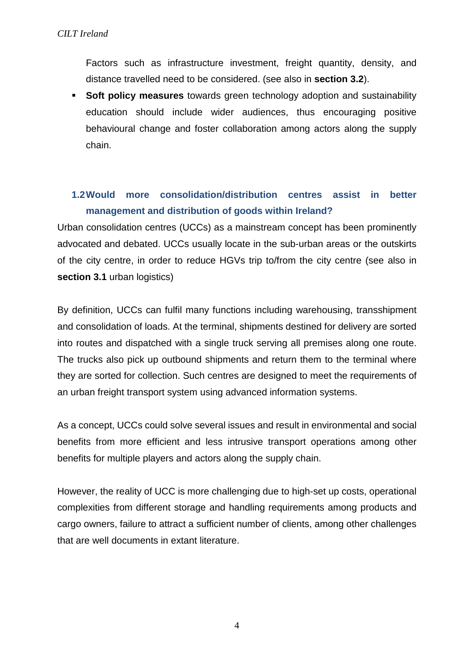Factors such as infrastructure investment, freight quantity, density, and distance travelled need to be considered. (see also in **section 3.2**).

**Soft policy measures** towards green technology adoption and sustainability education should include wider audiences, thus encouraging positive behavioural change and foster collaboration among actors along the supply chain.

## **1.2Would more consolidation/distribution centres assist in better management and distribution of goods within Ireland?**

Urban consolidation centres (UCCs) as a mainstream concept has been prominently advocated and debated. UCCs usually locate in the sub-urban areas or the outskirts of the city centre, in order to reduce HGVs trip to/from the city centre (see also in **section 3.1** urban logistics)

By definition, UCCs can fulfil many functions including warehousing, transshipment and consolidation of loads. At the terminal, shipments destined for delivery are sorted into routes and dispatched with a single truck serving all premises along one route. The trucks also pick up outbound shipments and return them to the terminal where they are sorted for collection. Such centres are designed to meet the requirements of an urban freight transport system using advanced information systems.

As a concept, UCCs could solve several issues and result in environmental and social benefits from more efficient and less intrusive transport operations among other benefits for multiple players and actors along the supply chain.

However, the reality of UCC is more challenging due to high-set up costs, operational complexities from different storage and handling requirements among products and cargo owners, failure to attract a sufficient number of clients, among other challenges that are well documents in extant literature.

4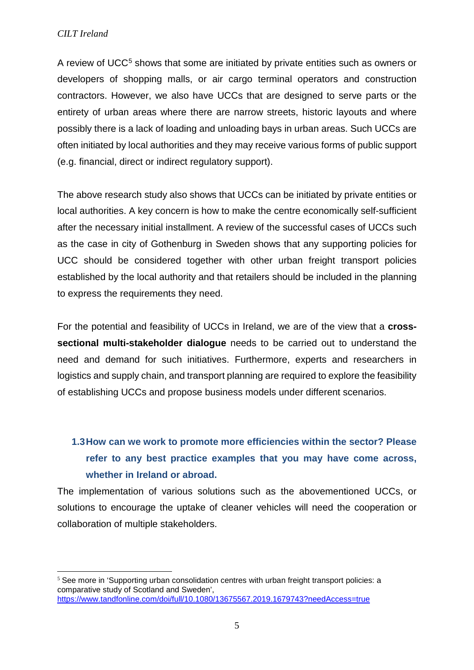A review of UCC<sup>[5](#page-4-0)</sup> shows that some are initiated by private entities such as owners or developers of shopping malls, or air cargo terminal operators and construction contractors. However, we also have UCCs that are designed to serve parts or the entirety of urban areas where there are narrow streets, historic layouts and where possibly there is a lack of loading and unloading bays in urban areas. Such UCCs are often initiated by local authorities and they may receive various forms of public support (e.g. financial, direct or indirect regulatory support).

The above research study also shows that UCCs can be initiated by private entities or local authorities. A key concern is how to make the centre economically self-sufficient after the necessary initial installment. A review of the successful cases of UCCs such as the case in city of Gothenburg in Sweden shows that any supporting policies for UCC should be considered together with other urban freight transport policies established by the local authority and that retailers should be included in the planning to express the requirements they need.

For the potential and feasibility of UCCs in Ireland, we are of the view that a **crosssectional multi-stakeholder dialogue** needs to be carried out to understand the need and demand for such initiatives. Furthermore, experts and researchers in logistics and supply chain, and transport planning are required to explore the feasibility of establishing UCCs and propose business models under different scenarios.

# **1.3How can we work to promote more efficiencies within the sector? Please refer to any best practice examples that you may have come across, whether in Ireland or abroad.**

The implementation of various solutions such as the abovementioned UCCs, or solutions to encourage the uptake of cleaner vehicles will need the cooperation or collaboration of multiple stakeholders.

<span id="page-4-0"></span><sup>&</sup>lt;sup>5</sup> See more in 'Supporting urban consolidation centres with urban freight transport policies: a comparative study of Scotland and Sweden', <https://www.tandfonline.com/doi/full/10.1080/13675567.2019.1679743?needAccess=true>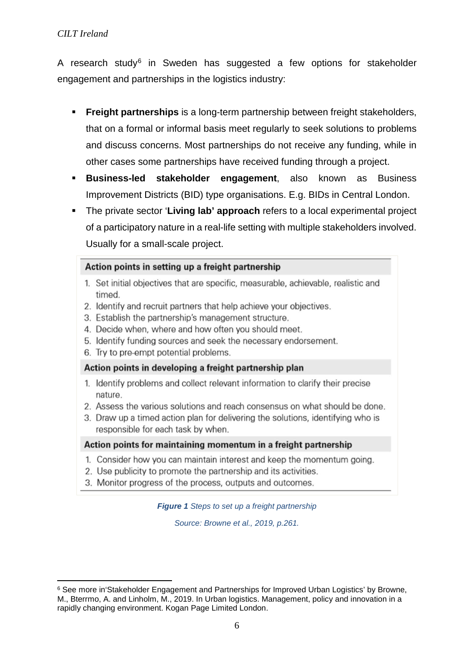A research study<sup>[6](#page-5-0)</sup> in Sweden has suggested a few options for stakeholder engagement and partnerships in the logistics industry:

- **Freight partnerships** is a long-term partnership between freight stakeholders, that on a formal or informal basis meet regularly to seek solutions to problems and discuss concerns. Most partnerships do not receive any funding, while in other cases some partnerships have received funding through a project.
- **Business-led stakeholder engagement**, also known as Business Improvement Districts (BID) type organisations. E.g. BIDs in Central London.
- The private sector '**Living lab' approach** refers to a local experimental project of a participatory nature in a real-life setting with multiple stakeholders involved. Usually for a small-scale project.

### Action points in setting up a freight partnership

- 1. Set initial objectives that are specific, measurable, achievable, realistic and timed.
- 2. Identify and recruit partners that help achieve your objectives.
- 3. Establish the partnership's management structure.
- 4. Decide when, where and how often you should meet.
- 5. Identify funding sources and seek the necessary endorsement.
- 6. Try to pre-empt potential problems.

### Action points in developing a freight partnership plan

- 1. Identify problems and collect relevant information to clarify their precise nature.
- 2. Assess the various solutions and reach consensus on what should be done.
- 3. Draw up a timed action plan for delivering the solutions, identifying who is responsible for each task by when.

### Action points for maintaining momentum in a freight partnership

- 1. Consider how you can maintain interest and keep the momentum going.
- 2. Use publicity to promote the partnership and its activities.
- 3. Monitor progress of the process, outputs and outcomes.

*Figure 1 Steps to set up a freight partnership* 

*Source: Browne et al., 2019, p.261.*

<span id="page-5-0"></span><sup>&</sup>lt;u>.</u> <sup>6</sup> See more in'Stakeholder Engagement and Partnerships for Improved Urban Logistics' by Browne, M., Bterrmo, A. and Linholm, M., 2019. In Urban logistics. Management, policy and innovation in a rapidly changing environment. Kogan Page Limited London.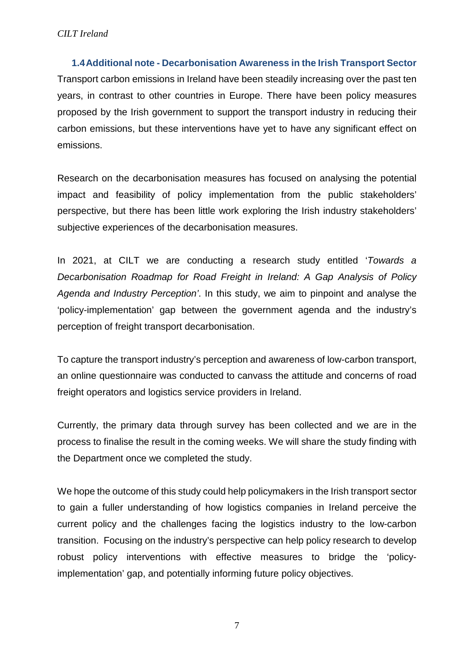**1.4Additional note - Decarbonisation Awareness in the Irish Transport Sector** Transport carbon emissions in Ireland have been steadily increasing over the past ten years, in contrast to other countries in Europe. There have been policy measures proposed by the Irish government to support the transport industry in reducing their carbon emissions, but these interventions have yet to have any significant effect on emissions.

Research on the decarbonisation measures has focused on analysing the potential impact and feasibility of policy implementation from the public stakeholders' perspective, but there has been little work exploring the Irish industry stakeholders' subjective experiences of the decarbonisation measures.

In 2021, at CILT we are conducting a research study entitled '*Towards a Decarbonisation Roadmap for Road Freight in Ireland: A Gap Analysis of Policy Agenda and Industry Perception'*. In this study, we aim to pinpoint and analyse the 'policy-implementation' gap between the government agenda and the industry's perception of freight transport decarbonisation.

To capture the transport industry's perception and awareness of low-carbon transport, an online questionnaire was conducted to canvass the attitude and concerns of road freight operators and logistics service providers in Ireland.

Currently, the primary data through survey has been collected and we are in the process to finalise the result in the coming weeks. We will share the study finding with the Department once we completed the study.

We hope the outcome of this study could help policymakers in the Irish transport sector to gain a fuller understanding of how logistics companies in Ireland perceive the current policy and the challenges facing the logistics industry to the low-carbon transition. Focusing on the industry's perspective can help policy research to develop robust policy interventions with effective measures to bridge the 'policyimplementation' gap, and potentially informing future policy objectives.

7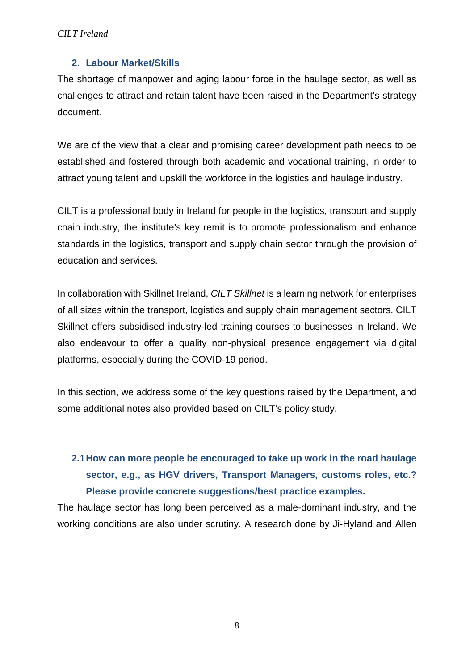### **2. Labour Market/Skills**

The shortage of manpower and aging labour force in the haulage sector, as well as challenges to attract and retain talent have been raised in the Department's strategy document.

We are of the view that a clear and promising career development path needs to be established and fostered through both academic and vocational training, in order to attract young talent and upskill the workforce in the logistics and haulage industry.

CILT is a professional body in Ireland for people in the logistics, transport and supply chain industry, the institute's key remit is to promote professionalism and enhance standards in the logistics, transport and supply chain sector through the provision of education and services.

In collaboration with Skillnet Ireland, *CILT Skillnet* is a learning network for enterprises of all sizes within the transport, logistics and supply chain management sectors. CILT Skillnet offers subsidised industry-led training courses to businesses in Ireland. We also endeavour to offer a quality non-physical presence engagement via digital platforms, especially during the COVID-19 period.

In this section, we address some of the key questions raised by the Department, and some additional notes also provided based on CILT's policy study.

# **2.1How can more people be encouraged to take up work in the road haulage sector, e.g., as HGV drivers, Transport Managers, customs roles, etc.? Please provide concrete suggestions/best practice examples.**

The haulage sector has long been perceived as a male-dominant industry, and the working conditions are also under scrutiny. A research done by Ji-Hyland and Allen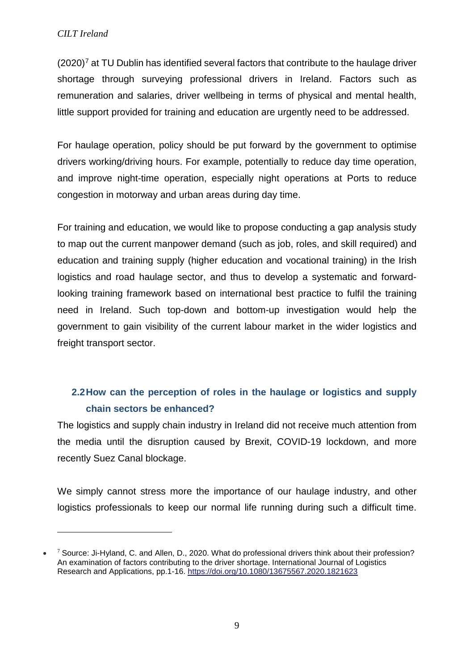-

 $(2020)<sup>7</sup>$  $(2020)<sup>7</sup>$  $(2020)<sup>7</sup>$  at TU Dublin has identified several factors that contribute to the haulage driver shortage through surveying professional drivers in Ireland. Factors such as remuneration and salaries, driver wellbeing in terms of physical and mental health, little support provided for training and education are urgently need to be addressed.

For haulage operation, policy should be put forward by the government to optimise drivers working/driving hours. For example, potentially to reduce day time operation, and improve night-time operation, especially night operations at Ports to reduce congestion in motorway and urban areas during day time.

For training and education, we would like to propose conducting a gap analysis study to map out the current manpower demand (such as job, roles, and skill required) and education and training supply (higher education and vocational training) in the Irish logistics and road haulage sector, and thus to develop a systematic and forwardlooking training framework based on international best practice to fulfil the training need in Ireland. Such top-down and bottom-up investigation would help the government to gain visibility of the current labour market in the wider logistics and freight transport sector.

# **2.2How can the perception of roles in the haulage or logistics and supply chain sectors be enhanced?**

The logistics and supply chain industry in Ireland did not receive much attention from the media until the disruption caused by Brexit, COVID-19 lockdown, and more recently Suez Canal blockage.

We simply cannot stress more the importance of our haulage industry, and other logistics professionals to keep our normal life running during such a difficult time.

<span id="page-8-0"></span><sup>•</sup> <sup>7</sup> Source: Ji-Hyland, C. and Allen, D., 2020. What do professional drivers think about their profession? An examination of factors contributing to the driver shortage. International Journal of Logistics Research and Applications, pp.1-16. <https://doi.org/10.1080/13675567.2020.1821623>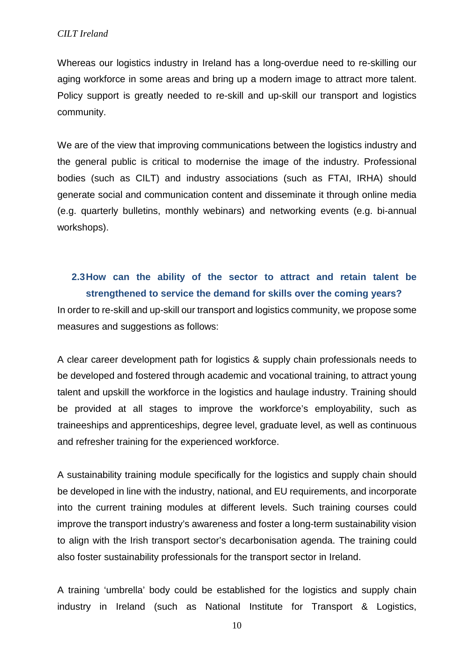Whereas our logistics industry in Ireland has a long-overdue need to re-skilling our aging workforce in some areas and bring up a modern image to attract more talent. Policy support is greatly needed to re-skill and up-skill our transport and logistics community.

We are of the view that improving communications between the logistics industry and the general public is critical to modernise the image of the industry. Professional bodies (such as CILT) and industry associations (such as FTAI, IRHA) should generate social and communication content and disseminate it through online media (e.g. quarterly bulletins, monthly webinars) and networking events (e.g. bi-annual workshops).

## **2.3How can the ability of the sector to attract and retain talent be strengthened to service the demand for skills over the coming years?**

In order to re-skill and up-skill our transport and logistics community, we propose some measures and suggestions as follows:

A clear career development path for logistics & supply chain professionals needs to be developed and fostered through academic and vocational training, to attract young talent and upskill the workforce in the logistics and haulage industry. Training should be provided at all stages to improve the workforce's employability, such as traineeships and apprenticeships, degree level, graduate level, as well as continuous and refresher training for the experienced workforce.

A sustainability training module specifically for the logistics and supply chain should be developed in line with the industry, national, and EU requirements, and incorporate into the current training modules at different levels. Such training courses could improve the transport industry's awareness and foster a long-term sustainability vision to align with the Irish transport sector's decarbonisation agenda. The training could also foster sustainability professionals for the transport sector in Ireland.

A training 'umbrella' body could be established for the logistics and supply chain industry in Ireland (such as National Institute for Transport & Logistics,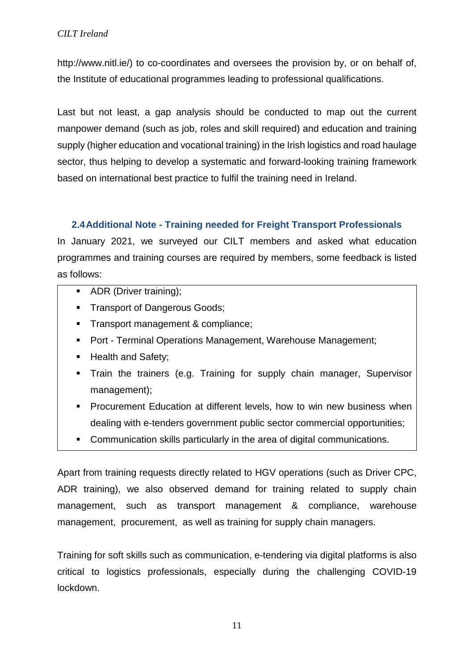http://www.nitl.ie/) to co-coordinates and oversees the provision by, or on behalf of, the Institute of educational programmes leading to professional qualifications.

Last but not least, a gap analysis should be conducted to map out the current manpower demand (such as job, roles and skill required) and education and training supply (higher education and vocational training) in the Irish logistics and road haulage sector, thus helping to develop a systematic and forward-looking training framework based on international best practice to fulfil the training need in Ireland.

### **2.4Additional Note - Training needed for Freight Transport Professionals**

In January 2021, we surveyed our CILT members and asked what education programmes and training courses are required by members, some feedback is listed as follows:

- ADR (Driver training);
- **Transport of Dangerous Goods;**
- **Transport management & compliance;**
- Port Terminal Operations Management, Warehouse Management;
- **Health and Safety;**
- Train the trainers (e.g. Training for supply chain manager, Supervisor management);
- **Procurement Education at different levels, how to win new business when** dealing with e-tenders government public sector commercial opportunities;
- Communication skills particularly in the area of digital communications.

Apart from training requests directly related to HGV operations (such as Driver CPC, ADR training), we also observed demand for training related to supply chain management, such as transport management & compliance, warehouse management, procurement, as well as training for supply chain managers.

Training for soft skills such as communication, e-tendering via digital platforms is also critical to logistics professionals, especially during the challenging COVID-19 lockdown.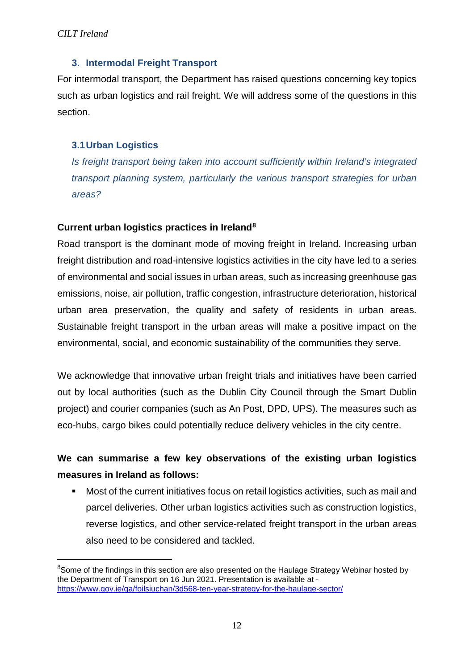### **3. Intermodal Freight Transport**

For intermodal transport, the Department has raised questions concerning key topics such as urban logistics and rail freight. We will address some of the questions in this section.

### **3.1Urban Logistics**

*Is freight transport being taken into account sufficiently within Ireland's integrated transport planning system, particularly the various transport strategies for urban areas?* 

### **Current urban logistics practices in Ireland[8](#page-11-0)**

Road transport is the dominant mode of moving freight in Ireland. Increasing urban freight distribution and road-intensive logistics activities in the city have led to a series of environmental and social issues in urban areas, such as increasing greenhouse gas emissions, noise, air pollution, traffic congestion, infrastructure deterioration, historical urban area preservation, the quality and safety of residents in urban areas. Sustainable freight transport in the urban areas will make a positive impact on the environmental, social, and economic sustainability of the communities they serve.

We acknowledge that innovative urban freight trials and initiatives have been carried out by local authorities (such as the Dublin City Council through the Smart Dublin project) and courier companies (such as An Post, DPD, UPS). The measures such as eco-hubs, cargo bikes could potentially reduce delivery vehicles in the city centre.

## **We can summarise a few key observations of the existing urban logistics measures in Ireland as follows:**

 Most of the current initiatives focus on retail logistics activities, such as mail and parcel deliveries. Other urban logistics activities such as construction logistics, reverse logistics, and other service-related freight transport in the urban areas also need to be considered and tackled.

<span id="page-11-0"></span> $\frac{1}{8}$  $8$ Some of the findings in this section are also presented on the Haulage Strategy Webinar hosted by the Department of Transport on 16 Jun 2021. Presentation is available at <https://www.gov.ie/ga/foilsiuchan/3d568-ten-year-strategy-for-the-haulage-sector/>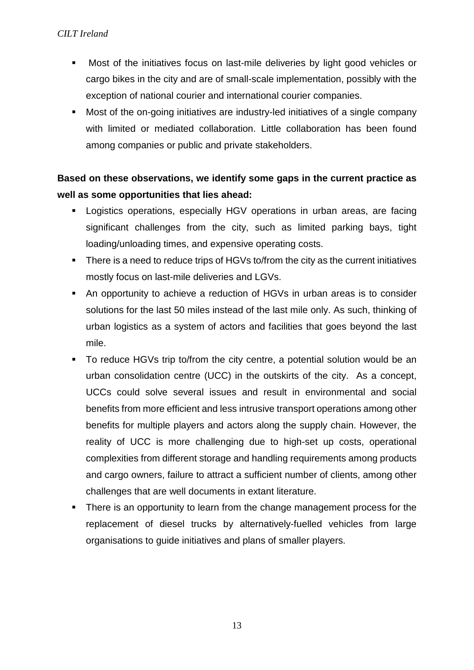- Most of the initiatives focus on last-mile deliveries by light good vehicles or cargo bikes in the city and are of small-scale implementation, possibly with the exception of national courier and international courier companies.
- Most of the on-going initiatives are industry-led initiatives of a single company with limited or mediated collaboration. Little collaboration has been found among companies or public and private stakeholders.

## **Based on these observations, we identify some gaps in the current practice as well as some opportunities that lies ahead:**

- Logistics operations, especially HGV operations in urban areas, are facing significant challenges from the city, such as limited parking bays, tight loading/unloading times, and expensive operating costs.
- **There is a need to reduce trips of HGVs to/from the city as the current initiatives** mostly focus on last-mile deliveries and LGVs.
- An opportunity to achieve a reduction of HGVs in urban areas is to consider solutions for the last 50 miles instead of the last mile only. As such, thinking of urban logistics as a system of actors and facilities that goes beyond the last mile.
- To reduce HGVs trip to/from the city centre, a potential solution would be an urban consolidation centre (UCC) in the outskirts of the city. As a concept, UCCs could solve several issues and result in environmental and social benefits from more efficient and less intrusive transport operations among other benefits for multiple players and actors along the supply chain. However, the reality of UCC is more challenging due to high-set up costs, operational complexities from different storage and handling requirements among products and cargo owners, failure to attract a sufficient number of clients, among other challenges that are well documents in extant literature.
- There is an opportunity to learn from the change management process for the replacement of diesel trucks by alternatively-fuelled vehicles from large organisations to guide initiatives and plans of smaller players.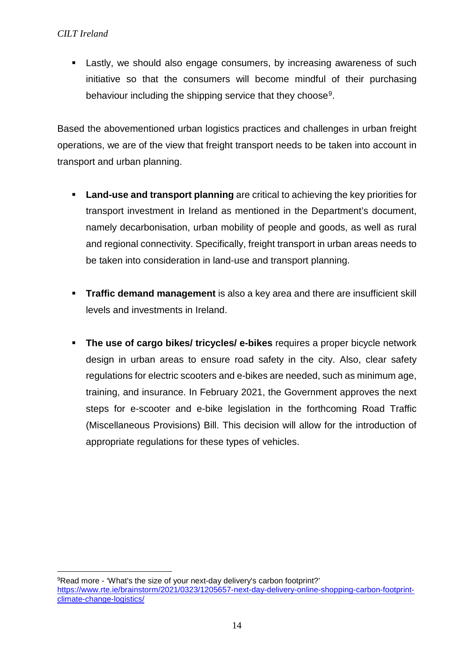Lastly, we should also engage consumers, by increasing awareness of such initiative so that the consumers will become mindful of their purchasing behaviour including the shipping service that they choose[9](#page-13-0).

Based the abovementioned urban logistics practices and challenges in urban freight operations, we are of the view that freight transport needs to be taken into account in transport and urban planning.

- **Land-use and transport planning** are critical to achieving the key priorities for transport investment in Ireland as mentioned in the Department's document, namely decarbonisation, urban mobility of people and goods, as well as rural and regional connectivity. Specifically, freight transport in urban areas needs to be taken into consideration in land-use and transport planning.
- **Traffic demand management** is also a key area and there are insufficient skill levels and investments in Ireland.
- **The use of cargo bikes/ tricycles/ e-bikes** requires a proper bicycle network design in urban areas to ensure road safety in the city. Also, clear safety regulations for electric scooters and e-bikes are needed, such as minimum age, training, and insurance. In February 2021, the Government approves the next steps for e-scooter and e-bike legislation in the forthcoming Road Traffic (Miscellaneous Provisions) Bill. This decision will allow for the introduction of appropriate regulations for these types of vehicles.

<span id="page-13-0"></span><sup>&</sup>lt;u>.</u> <sup>9</sup>Read more - 'What's the size of your next-day delivery's carbon footprint?' [https://www.rte.ie/brainstorm/2021/0323/1205657-next-day-delivery-online-shopping-carbon-footprint](https://www.rte.ie/brainstorm/2021/0323/1205657-next-day-delivery-online-shopping-carbon-footprint-climate-change-logistics/)[climate-change-logistics/](https://www.rte.ie/brainstorm/2021/0323/1205657-next-day-delivery-online-shopping-carbon-footprint-climate-change-logistics/)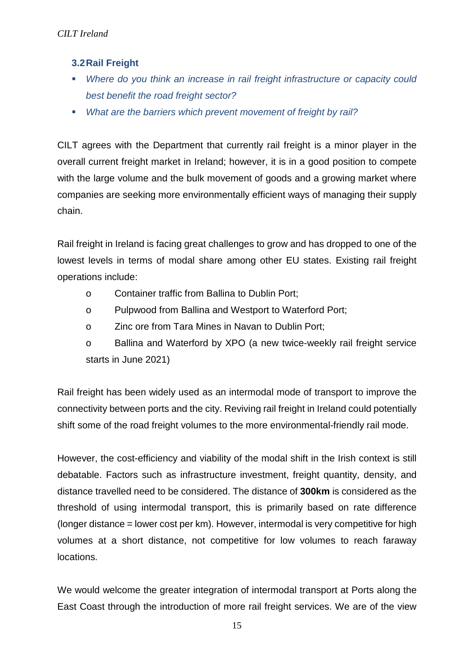### **3.2Rail Freight**

- *Where do you think an increase in rail freight infrastructure or capacity could best benefit the road freight sector?*
- *What are the barriers which prevent movement of freight by rail?*

CILT agrees with the Department that currently rail freight is a minor player in the overall current freight market in Ireland; however, it is in a good position to compete with the large volume and the bulk movement of goods and a growing market where companies are seeking more environmentally efficient ways of managing their supply chain.

Rail freight in Ireland is facing great challenges to grow and has dropped to one of the lowest levels in terms of modal share among other EU states. Existing rail freight operations include:

- o Container traffic from Ballina to Dublin Port;
- o Pulpwood from Ballina and Westport to Waterford Port;
- o Zinc ore from Tara Mines in Navan to Dublin Port;

o Ballina and Waterford by XPO (a new twice-weekly rail freight service starts in June 2021)

Rail freight has been widely used as an intermodal mode of transport to improve the connectivity between ports and the city. Reviving rail freight in Ireland could potentially shift some of the road freight volumes to the more environmental-friendly rail mode.

However, the cost-efficiency and viability of the modal shift in the Irish context is still debatable. Factors such as infrastructure investment, freight quantity, density, and distance travelled need to be considered. The distance of **300km** is considered as the threshold of using intermodal transport, this is primarily based on rate difference (longer distance = lower cost per km). However, intermodal is very competitive for high volumes at a short distance, not competitive for low volumes to reach faraway locations.

We would welcome the greater integration of intermodal transport at Ports along the East Coast through the introduction of more rail freight services. We are of the view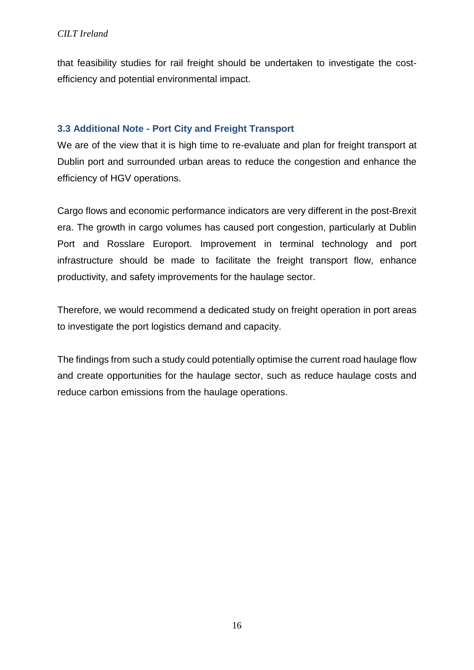that feasibility studies for rail freight should be undertaken to investigate the costefficiency and potential environmental impact.

### **3.3 Additional Note - Port City and Freight Transport**

We are of the view that it is high time to re-evaluate and plan for freight transport at Dublin port and surrounded urban areas to reduce the congestion and enhance the efficiency of HGV operations.

Cargo flows and economic performance indicators are very different in the post-Brexit era. The growth in cargo volumes has caused port congestion, particularly at Dublin Port and Rosslare Europort. Improvement in terminal technology and port infrastructure should be made to facilitate the freight transport flow, enhance productivity, and safety improvements for the haulage sector.

Therefore, we would recommend a dedicated study on freight operation in port areas to investigate the port logistics demand and capacity.

The findings from such a study could potentially optimise the current road haulage flow and create opportunities for the haulage sector, such as reduce haulage costs and reduce carbon emissions from the haulage operations.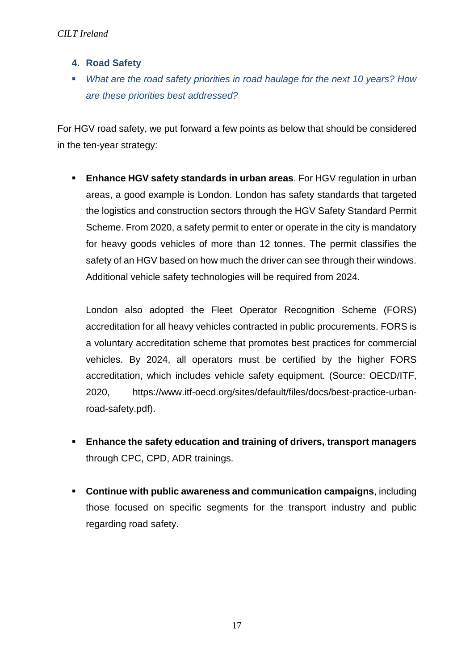- **4. Road Safety**
- *What are the road safety priorities in road haulage for the next 10 years? How are these priorities best addressed?*

For HGV road safety, we put forward a few points as below that should be considered in the ten-year strategy:

 **Enhance HGV safety standards in urban areas**. For HGV regulation in urban areas, a good example is London. London has safety standards that targeted the logistics and construction sectors through the HGV Safety Standard Permit Scheme. From 2020, a safety permit to enter or operate in the city is mandatory for heavy goods vehicles of more than 12 tonnes. The permit classifies the safety of an HGV based on how much the driver can see through their windows. Additional vehicle safety technologies will be required from 2024.

London also adopted the Fleet Operator Recognition Scheme (FORS) accreditation for all heavy vehicles contracted in public procurements. FORS is a voluntary accreditation scheme that promotes best practices for commercial vehicles. By 2024, all operators must be certified by the higher FORS accreditation, which includes vehicle safety equipment. (Source: OECD/ITF, 2020, [https://www.itf-oecd.org/sites/default/files/docs/best-practice-urban](https://www.itf-oecd.org/sites/default/files/docs/best-practice-urban-road-safety.pdf)[road-safety.pdf\)](https://www.itf-oecd.org/sites/default/files/docs/best-practice-urban-road-safety.pdf).

- **Enhance the safety education and training of drivers, transport managers** through CPC, CPD, ADR trainings.
- **Continue with public awareness and communication campaigns**, including those focused on specific segments for the transport industry and public regarding road safety.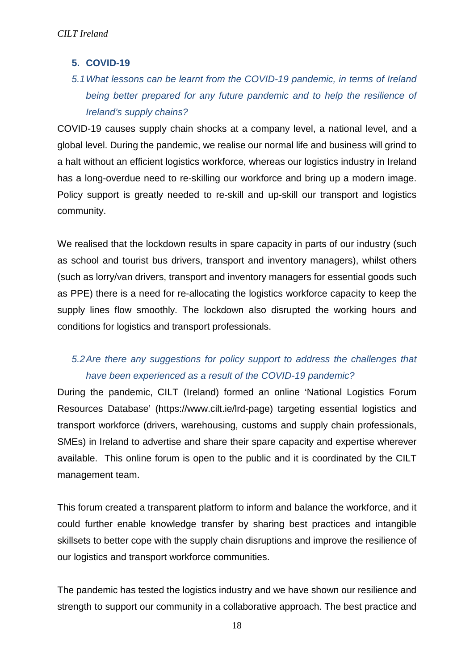### **5. COVID-19**

# *5.1What lessons can be learnt from the COVID-19 pandemic, in terms of Ireland being better prepared for any future pandemic and to help the resilience of Ireland's supply chains?*

COVID-19 causes supply chain shocks at a company level, a national level, and a global level. During the pandemic, we realise our normal life and business will grind to a halt without an efficient logistics workforce, whereas our logistics industry in Ireland has a long-overdue need to re-skilling our workforce and bring up a modern image. Policy support is greatly needed to re-skill and up-skill our transport and logistics community.

We realised that the lockdown results in spare capacity in parts of our industry (such as school and tourist bus drivers, transport and inventory managers), whilst others (such as lorry/van drivers, transport and inventory managers for essential goods such as PPE) there is a need for re-allocating the logistics workforce capacity to keep the supply lines flow smoothly. The lockdown also disrupted the working hours and conditions for logistics and transport professionals.

## *5.2Are there any suggestions for policy support to address the challenges that have been experienced as a result of the COVID-19 pandemic?*

During the pandemic, CILT (Ireland) formed an online 'National Logistics Forum Resources Database' (https://www.cilt.ie/lrd-page) targeting essential logistics and transport workforce (drivers, warehousing, customs and supply chain professionals, SMEs) in Ireland to advertise and share their spare capacity and expertise wherever available. This online forum is open to the public and it is coordinated by the CILT management team.

This forum created a transparent platform to inform and balance the workforce, and it could further enable knowledge transfer by sharing best practices and intangible skillsets to better cope with the supply chain disruptions and improve the resilience of our logistics and transport workforce communities.

The pandemic has tested the logistics industry and we have shown our resilience and strength to support our community in a collaborative approach. The best practice and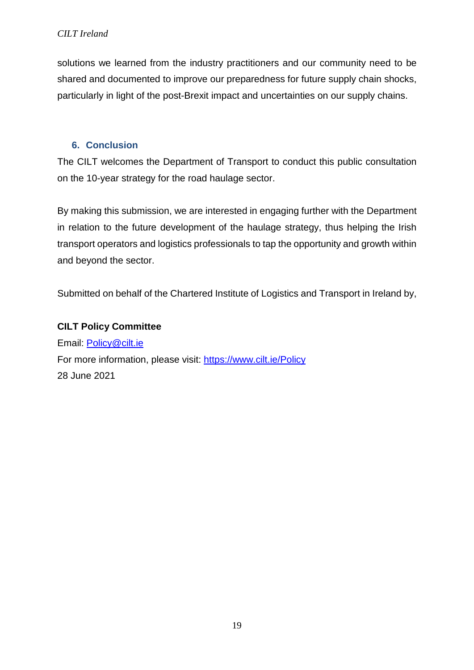solutions we learned from the industry practitioners and our community need to be shared and documented to improve our preparedness for future supply chain shocks, particularly in light of the post-Brexit impact and uncertainties on our supply chains.

### **6. Conclusion**

The CILT welcomes the Department of Transport to conduct this public consultation on the 10-year strategy for the road haulage sector.

By making this submission, we are interested in engaging further with the Department in relation to the future development of the haulage strategy, thus helping the Irish transport operators and logistics professionals to tap the opportunity and growth within and beyond the sector.

Submitted on behalf of the Chartered Institute of Logistics and Transport in Ireland by,

### **CILT Policy Committee**

Email: [Policy@cilt.ie](mailto:Policy@cilt.ie) For more information, please visit:<https://www.cilt.ie/Policy> 28 June 2021